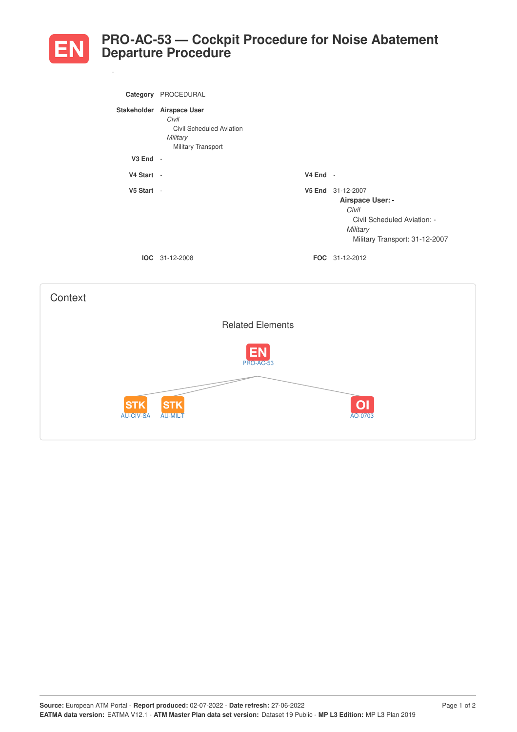

*-*

## **PRO-AC-53 — Cockpit Procedure for Noise Abatement Departure Procedure**

|              | Category PROCEDURAL                                                                              |            |                                                                                                                             |
|--------------|--------------------------------------------------------------------------------------------------|------------|-----------------------------------------------------------------------------------------------------------------------------|
|              | Stakeholder Airspace User<br>Civil<br>Civil Scheduled Aviation<br>Military<br>Military Transport |            |                                                                                                                             |
| $V3$ End $-$ |                                                                                                  |            |                                                                                                                             |
| V4 Start -   |                                                                                                  | $V4$ End - |                                                                                                                             |
| V5 Start -   |                                                                                                  |            | V5 End 31-12-2007<br>Airspace User: -<br>Civil<br>Civil Scheduled Aviation: -<br>Military<br>Military Transport: 31-12-2007 |
|              | IOC 31-12-2008                                                                                   |            | FOC 31-12-2012                                                                                                              |
|              |                                                                                                  |            |                                                                                                                             |